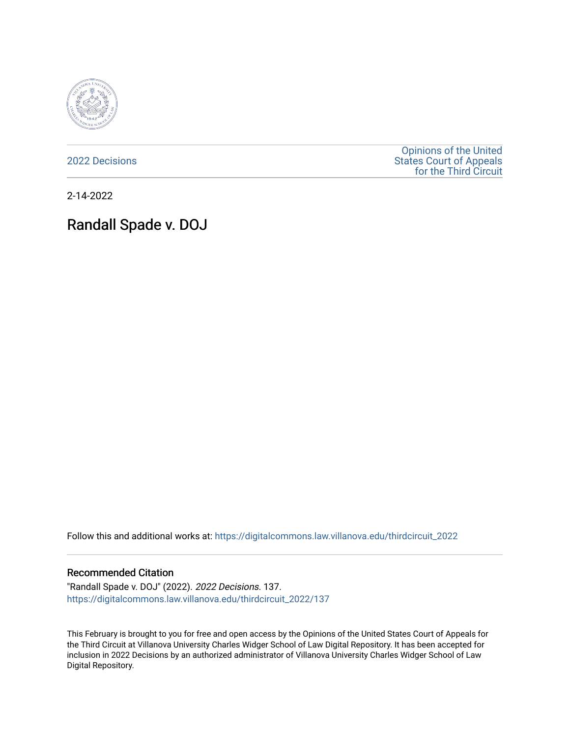

[2022 Decisions](https://digitalcommons.law.villanova.edu/thirdcircuit_2022)

[Opinions of the United](https://digitalcommons.law.villanova.edu/thirdcircuit)  [States Court of Appeals](https://digitalcommons.law.villanova.edu/thirdcircuit)  [for the Third Circuit](https://digitalcommons.law.villanova.edu/thirdcircuit) 

2-14-2022

# Randall Spade v. DOJ

Follow this and additional works at: [https://digitalcommons.law.villanova.edu/thirdcircuit\\_2022](https://digitalcommons.law.villanova.edu/thirdcircuit_2022?utm_source=digitalcommons.law.villanova.edu%2Fthirdcircuit_2022%2F137&utm_medium=PDF&utm_campaign=PDFCoverPages) 

### Recommended Citation

"Randall Spade v. DOJ" (2022). 2022 Decisions. 137. [https://digitalcommons.law.villanova.edu/thirdcircuit\\_2022/137](https://digitalcommons.law.villanova.edu/thirdcircuit_2022/137?utm_source=digitalcommons.law.villanova.edu%2Fthirdcircuit_2022%2F137&utm_medium=PDF&utm_campaign=PDFCoverPages)

This February is brought to you for free and open access by the Opinions of the United States Court of Appeals for the Third Circuit at Villanova University Charles Widger School of Law Digital Repository. It has been accepted for inclusion in 2022 Decisions by an authorized administrator of Villanova University Charles Widger School of Law Digital Repository.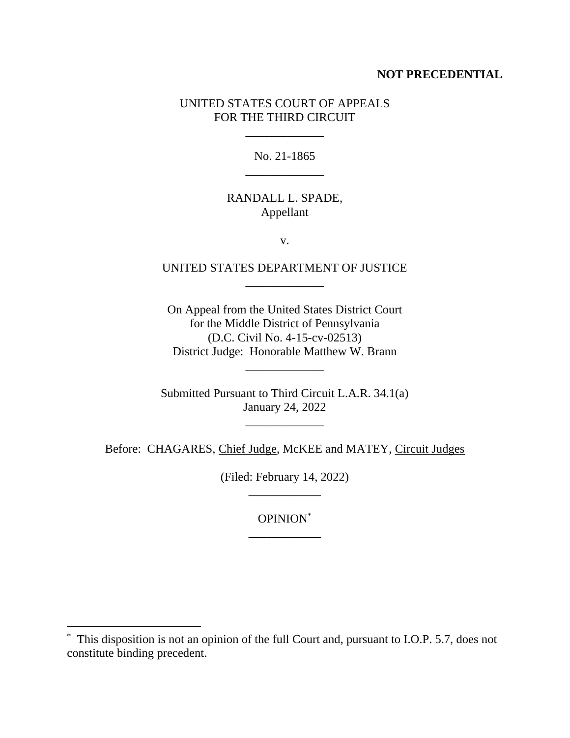## **NOT PRECEDENTIAL**

# UNITED STATES COURT OF APPEALS FOR THE THIRD CIRCUIT

\_\_\_\_\_\_\_\_\_\_\_\_\_

No. 21-1865 \_\_\_\_\_\_\_\_\_\_\_\_\_

## RANDALL L. SPADE, Appellant

v.

# UNITED STATES DEPARTMENT OF JUSTICE \_\_\_\_\_\_\_\_\_\_\_\_\_

On Appeal from the United States District Court for the Middle District of Pennsylvania (D.C. Civil No. 4-15-cv-02513) District Judge: Honorable Matthew W. Brann

\_\_\_\_\_\_\_\_\_\_\_\_\_

Submitted Pursuant to Third Circuit L.A.R. 34.1(a) January 24, 2022

\_\_\_\_\_\_\_\_\_\_\_\_\_

Before: CHAGARES, Chief Judge, McKEE and MATEY, Circuit Judges

(Filed: February 14, 2022) \_\_\_\_\_\_\_\_\_\_\_\_

> OPINION\* \_\_\_\_\_\_\_\_\_\_\_\_

<sup>\*</sup> This disposition is not an opinion of the full Court and, pursuant to I.O.P. 5.7, does not constitute binding precedent.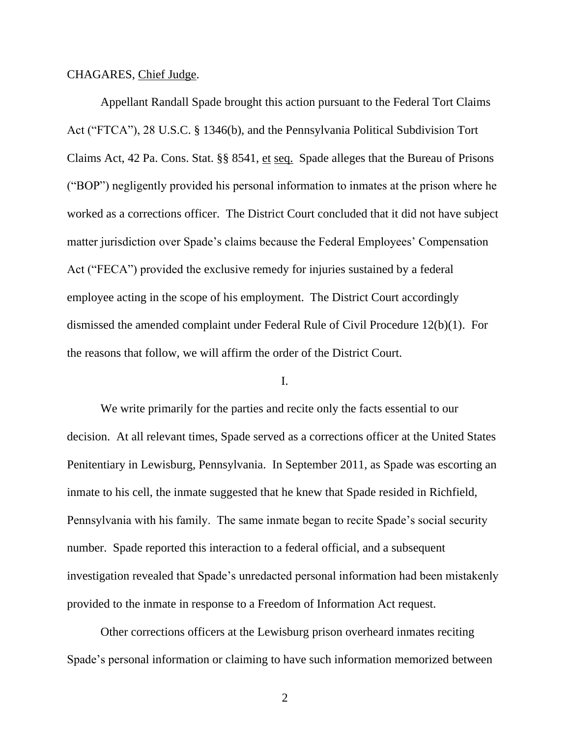### CHAGARES, Chief Judge.

Appellant Randall Spade brought this action pursuant to the Federal Tort Claims Act ("FTCA"), 28 U.S.C. § 1346(b), and the Pennsylvania Political Subdivision Tort Claims Act, 42 Pa. Cons. Stat. §§ 8541, et seq. Spade alleges that the Bureau of Prisons ("BOP") negligently provided his personal information to inmates at the prison where he worked as a corrections officer. The District Court concluded that it did not have subject matter jurisdiction over Spade's claims because the Federal Employees' Compensation Act ("FECA") provided the exclusive remedy for injuries sustained by a federal employee acting in the scope of his employment. The District Court accordingly dismissed the amended complaint under Federal Rule of Civil Procedure 12(b)(1). For the reasons that follow, we will affirm the order of the District Court.

### I.

We write primarily for the parties and recite only the facts essential to our decision. At all relevant times, Spade served as a corrections officer at the United States Penitentiary in Lewisburg, Pennsylvania. In September 2011, as Spade was escorting an inmate to his cell, the inmate suggested that he knew that Spade resided in Richfield, Pennsylvania with his family. The same inmate began to recite Spade's social security number. Spade reported this interaction to a federal official, and a subsequent investigation revealed that Spade's unredacted personal information had been mistakenly provided to the inmate in response to a Freedom of Information Act request.

Other corrections officers at the Lewisburg prison overheard inmates reciting Spade's personal information or claiming to have such information memorized between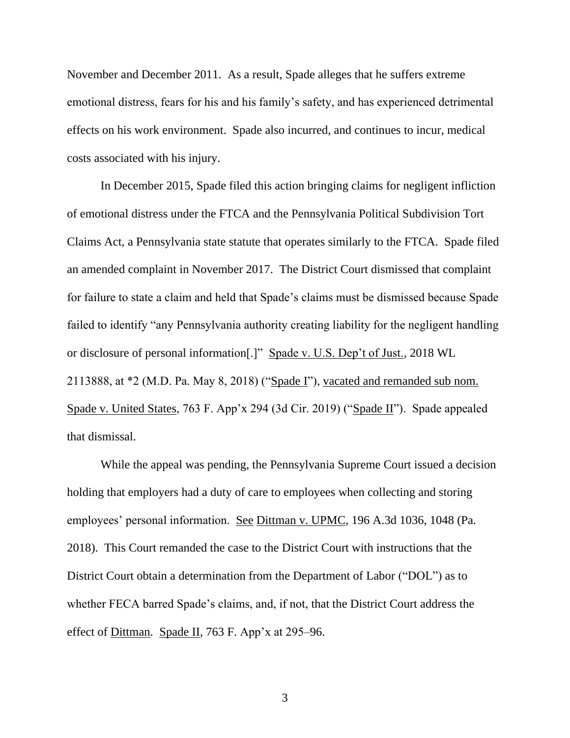November and December 2011. As a result, Spade alleges that he suffers extreme emotional distress, fears for his and his family's safety, and has experienced detrimental effects on his work environment. Spade also incurred, and continues to incur, medical costs associated with his injury.

In December 2015, Spade filed this action bringing claims for negligent infliction of emotional distress under the FTCA and the Pennsylvania Political Subdivision Tort Claims Act, a Pennsylvania state statute that operates similarly to the FTCA. Spade filed an amended complaint in November 2017. The District Court dismissed that complaint for failure to state a claim and held that Spade's claims must be dismissed because Spade failed to identify "any Pennsylvania authority creating liability for the negligent handling or disclosure of personal information[.]" Spade v. U.S. Dep't of Just., 2018 WL 2113888, at \*2 (M.D. Pa. May 8, 2018) ("Spade I"), vacated and remanded sub nom. Spade v. United States, 763 F. App'x 294 (3d Cir. 2019) ("Spade II"). Spade appealed that dismissal.

While the appeal was pending, the Pennsylvania Supreme Court issued a decision holding that employers had a duty of care to employees when collecting and storing employees' personal information. See Dittman v. UPMC, 196 A.3d 1036, 1048 (Pa. 2018). This Court remanded the case to the District Court with instructions that the District Court obtain a determination from the Department of Labor ("DOL") as to whether FECA barred Spade's claims, and, if not, that the District Court address the effect of Dittman. Spade II, 763 F. App'x at 295–96.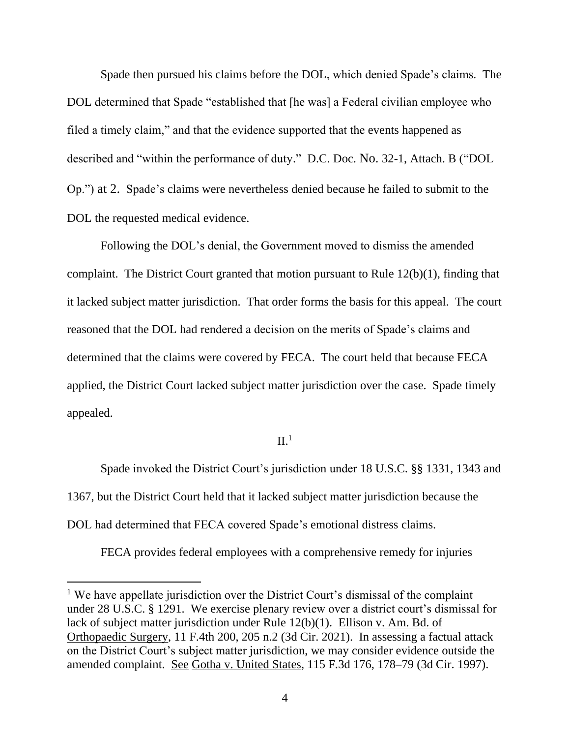Spade then pursued his claims before the DOL, which denied Spade's claims. The DOL determined that Spade "established that [he was] a Federal civilian employee who filed a timely claim," and that the evidence supported that the events happened as described and "within the performance of duty." D.C. Doc. No. 32-1, Attach. B ("DOL Op.") at 2. Spade's claims were nevertheless denied because he failed to submit to the DOL the requested medical evidence.

Following the DOL's denial, the Government moved to dismiss the amended complaint. The District Court granted that motion pursuant to Rule 12(b)(1), finding that it lacked subject matter jurisdiction. That order forms the basis for this appeal. The court reasoned that the DOL had rendered a decision on the merits of Spade's claims and determined that the claims were covered by FECA. The court held that because FECA applied, the District Court lacked subject matter jurisdiction over the case. Spade timely appealed.

### $II.<sup>1</sup>$

Spade invoked the District Court's jurisdiction under 18 U.S.C. §§ 1331, 1343 and 1367, but the District Court held that it lacked subject matter jurisdiction because the DOL had determined that FECA covered Spade's emotional distress claims.

FECA provides federal employees with a comprehensive remedy for injuries

 $<sup>1</sup>$  We have appellate jurisdiction over the District Court's dismissal of the complaint</sup> under 28 U.S.C. § 1291. We exercise plenary review over a district court's dismissal for lack of subject matter jurisdiction under Rule 12(b)(1). Ellison v. Am. Bd. of Orthopaedic Surgery, 11 F.4th 200, 205 n.2 (3d Cir. 2021). In assessing a factual attack on the District Court's subject matter jurisdiction, we may consider evidence outside the amended complaint. See Gotha v. United States, 115 F.3d 176, 178–79 (3d Cir. 1997).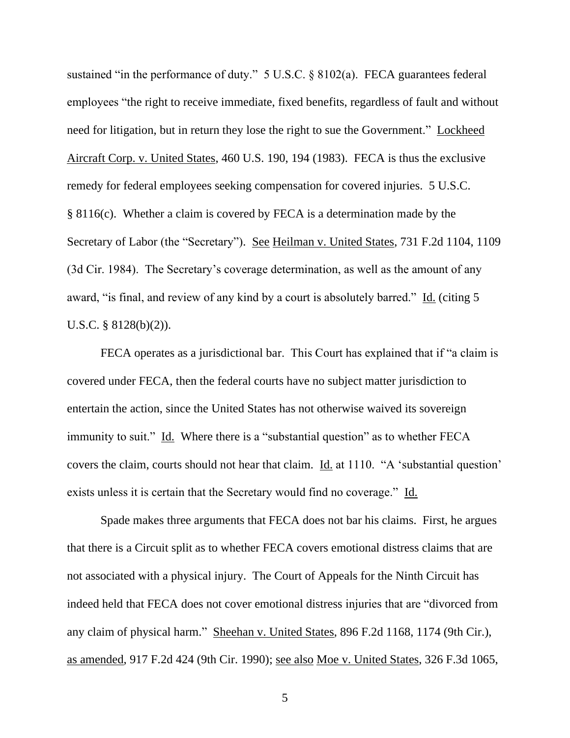sustained "in the performance of duty." 5 U.S.C. § 8102(a). FECA guarantees federal employees "the right to receive immediate, fixed benefits, regardless of fault and without need for litigation, but in return they lose the right to sue the Government." Lockheed Aircraft Corp. v. United States, 460 U.S. 190, 194 (1983). FECA is thus the exclusive remedy for federal employees seeking compensation for covered injuries. 5 U.S.C. § 8116(c). Whether a claim is covered by FECA is a determination made by the Secretary of Labor (the "Secretary"). See Heilman v. United States, 731 F.2d 1104, 1109 (3d Cir. 1984). The Secretary's coverage determination, as well as the amount of any award, "is final, and review of any kind by a court is absolutely barred." Id. (citing 5 U.S.C. § 8128(b)(2)).

FECA operates as a jurisdictional bar. This Court has explained that if "a claim is covered under FECA, then the federal courts have no subject matter jurisdiction to entertain the action, since the United States has not otherwise waived its sovereign immunity to suit." Id. Where there is a "substantial question" as to whether FECA covers the claim, courts should not hear that claim. Id. at 1110. "A 'substantial question' exists unless it is certain that the Secretary would find no coverage." Id.

Spade makes three arguments that FECA does not bar his claims. First, he argues that there is a Circuit split as to whether FECA covers emotional distress claims that are not associated with a physical injury. The Court of Appeals for the Ninth Circuit has indeed held that FECA does not cover emotional distress injuries that are "divorced from any claim of physical harm." Sheehan v. United States, 896 F.2d 1168, 1174 (9th Cir.), as amended, 917 F.2d 424 (9th Cir. 1990); see also Moe v. United States, 326 F.3d 1065,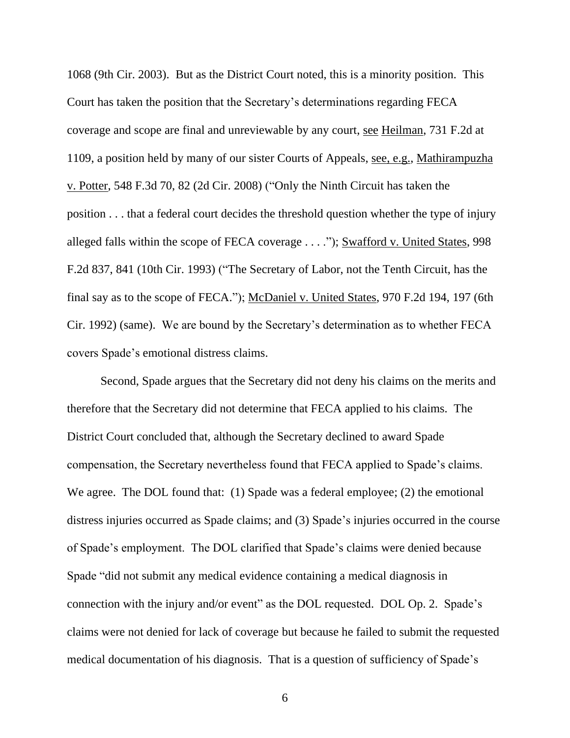1068 (9th Cir. 2003). But as the District Court noted, this is a minority position. This Court has taken the position that the Secretary's determinations regarding FECA coverage and scope are final and unreviewable by any court, see Heilman, 731 F.2d at 1109, a position held by many of our sister Courts of Appeals, see, e.g., Mathirampuzha v. Potter, 548 F.3d 70, 82 (2d Cir. 2008) ("Only the Ninth Circuit has taken the position . . . that a federal court decides the threshold question whether the type of injury alleged falls within the scope of FECA coverage . . . ."); Swafford v. United States, 998 F.2d 837, 841 (10th Cir. 1993) ("The Secretary of Labor, not the Tenth Circuit, has the final say as to the scope of FECA."); McDaniel v. United States, 970 F.2d 194, 197 (6th Cir. 1992) (same). We are bound by the Secretary's determination as to whether FECA covers Spade's emotional distress claims.

Second, Spade argues that the Secretary did not deny his claims on the merits and therefore that the Secretary did not determine that FECA applied to his claims. The District Court concluded that, although the Secretary declined to award Spade compensation, the Secretary nevertheless found that FECA applied to Spade's claims. We agree. The DOL found that: (1) Spade was a federal employee; (2) the emotional distress injuries occurred as Spade claims; and (3) Spade's injuries occurred in the course of Spade's employment. The DOL clarified that Spade's claims were denied because Spade "did not submit any medical evidence containing a medical diagnosis in connection with the injury and/or event" as the DOL requested. DOL Op. 2. Spade's claims were not denied for lack of coverage but because he failed to submit the requested medical documentation of his diagnosis. That is a question of sufficiency of Spade's